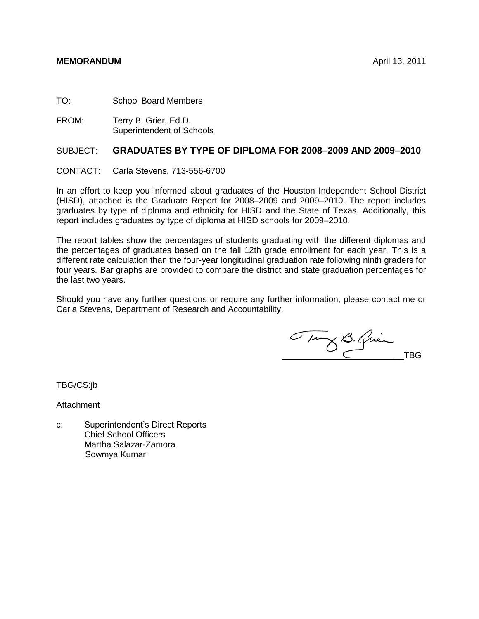#### **MEMORANDUM** April 13, 2011

TO: School Board Members

FROM: Terry B. Grier, Ed.D. Superintendent of Schools

#### SUBJECT: **GRADUATES BY TYPE OF DIPLOMA FOR 2008–2009 AND 2009–2010**

CONTACT: Carla Stevens, 713-556-6700

In an effort to keep you informed about graduates of the Houston Independent School District (HISD), attached is the Graduate Report for 2008–2009 and 2009–2010. The report includes graduates by type of diploma and ethnicity for HISD and the State of Texas. Additionally, this report includes graduates by type of diploma at HISD schools for 2009–2010.

The report tables show the percentages of students graduating with the different diplomas and the percentages of graduates based on the fall 12th grade enrollment for each year. This is a different rate calculation than the four-year longitudinal graduation rate following ninth graders for four years. Bar graphs are provided to compare the district and state graduation percentages for the last two years.

Should you have any further questions or require any further information, please contact me or Carla Stevens, Department of Research and Accountability.

Tury B. Quien

TBG/CS:jb

**Attachment** 

c: Superintendent's Direct Reports Chief School Officers Martha Salazar-Zamora Sowmya Kumar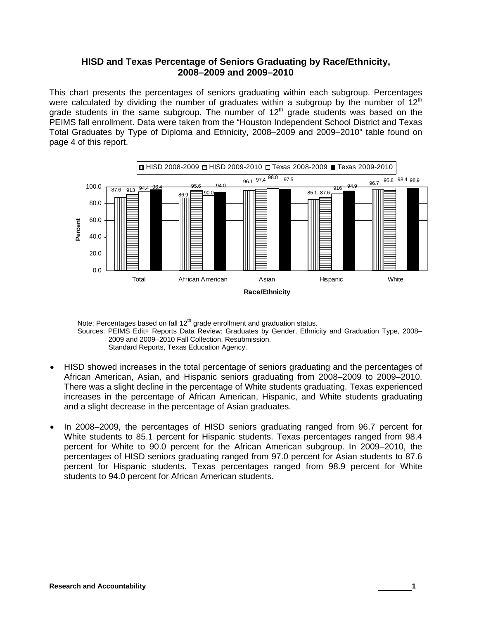### **HISD and Texas Percentage of Seniors Graduating by Race/Ethnicity, 2008–2009 and 2009–2010**

This chart presents the percentages of seniors graduating within each subgroup. Percentages were calculated by dividing the number of graduates within a subgroup by the number of  $12<sup>th</sup>$ grade students in the same subgroup. The number of  $12<sup>th</sup>$  grade students was based on the PEIMS fall enrollment. Data were taken from the "Houston Independent School District and Texas Total Graduates by Type of Diploma and Ethnicity, 2008–2009 and 2009–2010" table found on page 4 of this report.



Note: Percentages based on fall  $12<sup>th</sup>$  grade enrollment and graduation status. Sources: PEIMS Edit+ Reports Data Review: Graduates by Gender, Ethnicity and Graduation Type, 2008– 2009 and 2009–2010 Fall Collection, Resubmission. Standard Reports, Texas Education Agency.

- HISD showed increases in the total percentage of seniors graduating and the percentages of African American, Asian, and Hispanic seniors graduating from 2008–2009 to 2009–2010. There was a slight decline in the percentage of White students graduating. Texas experienced increases in the percentage of African American, Hispanic, and White students graduating and a slight decrease in the percentage of Asian graduates.
- In 2008–2009, the percentages of HISD seniors graduating ranged from 96.7 percent for White students to 85.1 percent for Hispanic students. Texas percentages ranged from 98.4 percent for White to 90.0 percent for the African American subgroup. In 2009–2010, the percentages of HISD seniors graduating ranged from 97.0 percent for Asian students to 87.6 percent for Hispanic students. Texas percentages ranged from 98.9 percent for White students to 94.0 percent for African American students.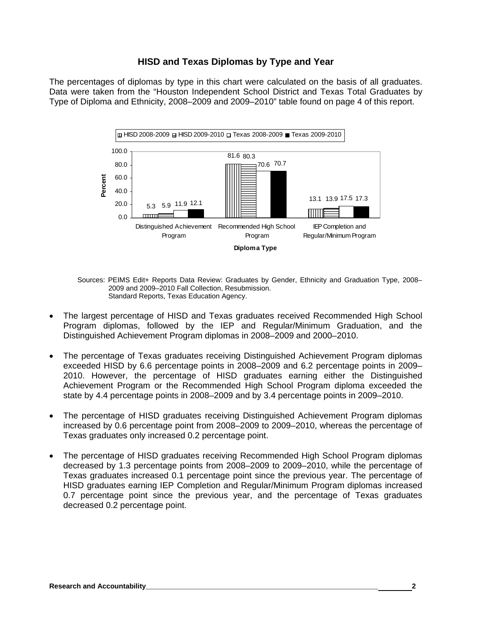## **HISD and Texas Diplomas by Type and Year**

The percentages of diplomas by type in this chart were calculated on the basis of all graduates. Data were taken from the "Houston Independent School District and Texas Total Graduates by Type of Diploma and Ethnicity, 2008–2009 and 2009–2010" table found on page 4 of this report.



Sources: PEIMS Edit+ Reports Data Review: Graduates by Gender, Ethnicity and Graduation Type, 2008– 2009 and 2009–2010 Fall Collection, Resubmission. Standard Reports, Texas Education Agency.

- The largest percentage of HISD and Texas graduates received Recommended High School Program diplomas, followed by the IEP and Regular/Minimum Graduation, and the Distinguished Achievement Program diplomas in 2008–2009 and 2000–2010.
- The percentage of Texas graduates receiving Distinguished Achievement Program diplomas exceeded HISD by 6.6 percentage points in 2008–2009 and 6.2 percentage points in 2009– 2010. However, the percentage of HISD graduates earning either the Distinguished Achievement Program or the Recommended High School Program diploma exceeded the state by 4.4 percentage points in 2008–2009 and by 3.4 percentage points in 2009–2010.
- The percentage of HISD graduates receiving Distinguished Achievement Program diplomas increased by 0.6 percentage point from 2008–2009 to 2009–2010, whereas the percentage of Texas graduates only increased 0.2 percentage point.
- The percentage of HISD graduates receiving Recommended High School Program diplomas decreased by 1.3 percentage points from 2008–2009 to 2009–2010, while the percentage of Texas graduates increased 0.1 percentage point since the previous year. The percentage of HISD graduates earning IEP Completion and Regular/Minimum Program diplomas increased 0.7 percentage point since the previous year, and the percentage of Texas graduates decreased 0.2 percentage point.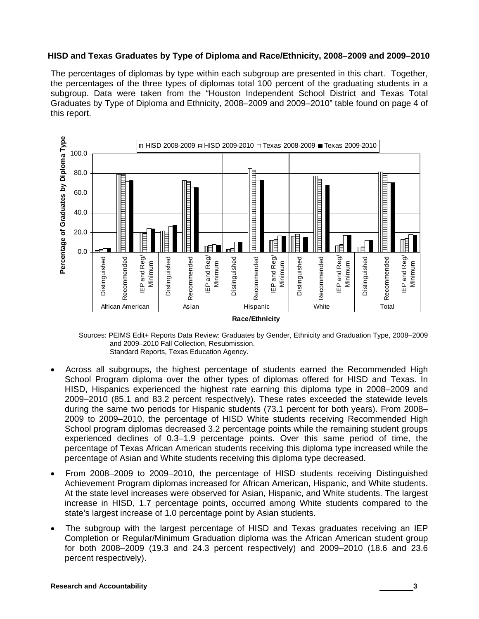#### **HISD and Texas Graduates by Type of Diploma and Race/Ethnicity, 2008–2009 and 2009–2010**

The percentages of diplomas by type within each subgroup are presented in this chart. Together, the percentages of the three types of diplomas total 100 percent of the graduating students in a subgroup. Data were taken from the "Houston Independent School District and Texas Total Graduates by Type of Diploma and Ethnicity, 2008–2009 and 2009–2010" table found on page 4 of this report.



Sources: PEIMS Edit+ Reports Data Review: Graduates by Gender, Ethnicity and Graduation Type, 2008–2009 and 2009–2010 Fall Collection, Resubmission. Standard Reports, Texas Education Agency.

- Across all subgroups, the highest percentage of students earned the Recommended High School Program diploma over the other types of diplomas offered for HISD and Texas. In HISD, Hispanics experienced the highest rate earning this diploma type in 2008–2009 and 2009–2010 (85.1 and 83.2 percent respectively). These rates exceeded the statewide levels during the same two periods for Hispanic students (73.1 percent for both years). From 2008– 2009 to 2009–2010, the percentage of HISD White students receiving Recommended High School program diplomas decreased 3.2 percentage points while the remaining student groups experienced declines of 0.3–1.9 percentage points. Over this same period of time, the percentage of Texas African American students receiving this diploma type increased while the percentage of Asian and White students receiving this diploma type decreased.
- From 2008–2009 to 2009–2010, the percentage of HISD students receiving Distinguished Achievement Program diplomas increased for African American, Hispanic, and White students. At the state level increases were observed for Asian, Hispanic, and White students. The largest increase in HISD, 1.7 percentage points, occurred among White students compared to the state's largest increase of 1.0 percentage point by Asian students.
- The subgroup with the largest percentage of HISD and Texas graduates receiving an IEP Completion or Regular/Minimum Graduation diploma was the African American student group for both 2008–2009 (19.3 and 24.3 percent respectively) and 2009–2010 (18.6 and 23.6 percent respectively).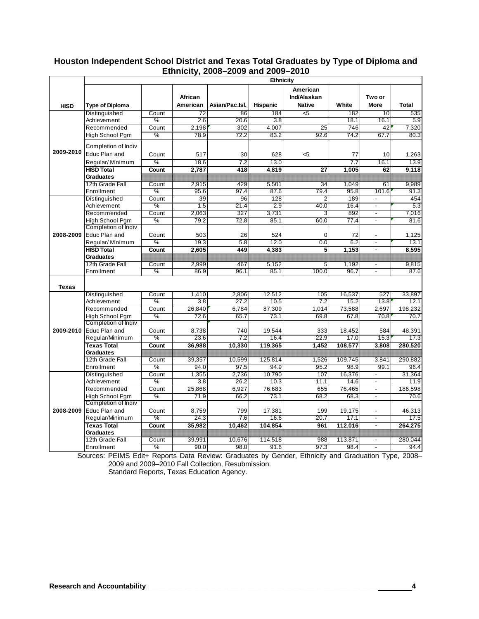#### **Houston Independent School District and Texas Total Graduates by Type of Diploma and Ethnicity, 2008–2009 and 2009–2010**

|              | Ethnicity                              |               |                     |                |                  |                                          |                 |                                                      |                 |  |
|--------------|----------------------------------------|---------------|---------------------|----------------|------------------|------------------------------------------|-----------------|------------------------------------------------------|-----------------|--|
| <b>HISD</b>  | <b>Type of Diploma</b>                 |               | African<br>American | Asian/Pac.Isl. | <b>Hispanic</b>  | American<br>Ind/Alaskan<br><b>Native</b> | White           | Two or<br><b>More</b>                                | <b>Total</b>    |  |
| 2009-2010    | Distinguished                          | Count         | $\overline{72}$     | 86             | 184              | $\overline{5}$                           | 182             | 10                                                   | 535             |  |
|              | Achievement                            | $\%$          | 2.6                 | 20.6           | 3.8              |                                          | 18.1            | 16.1                                                 | 5.9             |  |
|              | Recommended                            | Count         | 2,198               | 302            | 4,007            | 25                                       | 746             | 42                                                   | 7,320           |  |
|              | High School Pgm                        | $\%$          | 78.9                | 72.2           | 83.2             | 92.6                                     | 74.2            | 67.7                                                 | 80.3            |  |
|              | Completion of Indiv<br>Educ Plan and   | Count         | 517                 | 30             | 628              | $5$                                      | 77              | 10                                                   | 1,263           |  |
|              | Regular/Minimum                        | %             | 18.6                | 7.2            | 13.0             |                                          | 7.7             | 16.1                                                 | 13.9            |  |
|              | <b>HISD Total</b>                      | Count         | 2,787               | 418            | 4,819            | 27                                       | 1,005           | 62                                                   | 9,118           |  |
|              | <b>Graduates</b>                       |               |                     |                |                  |                                          |                 |                                                      |                 |  |
|              | 12th Grade Fall                        | Count         | 2.915               | 429            | 5.501            | 34                                       | 1.049           | 61                                                   | 9.989           |  |
|              | Enrollment                             | $\frac{0}{2}$ | 95.6                | 97.4           | 87.6             | 79.4                                     | 95.8            | 101.6                                                | 91.3            |  |
|              | Distinguished                          | Count         | 39                  | 96             | 128              | 2                                        | 189             | $\blacksquare$                                       | 454             |  |
|              | Achievement                            | %             | 1.5                 | 21.4           | $\overline{2.9}$ | 40.0                                     | 16.4            | $\overline{a}$                                       | 5.3             |  |
|              | Recommended                            | Count         | 2,063               | 327            | 3,731            | 3                                        | 892             | $\blacksquare$                                       | 7,016           |  |
|              | High School Pam                        | $\%$          | 79.2                | 72.8           | 85.1             | 60.0                                     | 77.4            |                                                      | 81.6            |  |
|              | Completion of Indiv                    |               |                     |                |                  |                                          |                 |                                                      |                 |  |
| 2008-2009    | Educ Plan and                          | Count         | 503                 | 26             | 524              | $\Omega$                                 | 72              |                                                      | 1,125           |  |
|              | Regular/Minimum                        | %             | 19.3                | 5.8            | 12.0             | 0.0                                      | 6.2             | $\overline{a}$                                       | 13.1            |  |
|              | <b>HISD Total</b>                      | Count         | 2,605               | 449            | 4,383            | 5                                        | 1,153           | $\blacksquare$                                       | 8,595           |  |
|              | Graduates                              |               |                     |                |                  |                                          |                 |                                                      |                 |  |
|              | 12th Grade Fall                        | Count         | 2,999               | 467            | 5,152            | 5                                        | 1,192           | $\overline{\phantom{a}}$                             | 9,815           |  |
|              | Enrollment                             | $\frac{0}{0}$ | 86.9                | 96.1           | 85.1             | 100.0                                    | 96.7            |                                                      | 87.6            |  |
| <b>Texas</b> |                                        |               |                     |                |                  |                                          |                 |                                                      |                 |  |
|              | Distinguished                          | Count         | 1,410               | 2,806          | 12,512           | 105                                      | 16,537          | 527                                                  | 33,897          |  |
|              | Achievement                            | $\%$          | 3.8                 | 27.2           | 10.5             | 7.2                                      | 15.2            | 13.8                                                 | 12.1            |  |
|              | Recommended                            | Count         | 26.840              | 6.784          | 87.309           | 1.014                                    | 73,588          | 2.697                                                | 198.232         |  |
|              | High School Pgm                        | $\%$          | 72.6                | 65.7           | 73.1             | 69.8                                     | 67.8            | 70.8                                                 | 70.7            |  |
|              | Completion of Indiv                    |               |                     |                |                  |                                          |                 |                                                      |                 |  |
| 2009-2010    | Educ Plan and                          | Count         | 8,738               | 740            | 19,544           | 333                                      | 18,452          | 584                                                  | 48,391          |  |
|              | Regular/Minimum                        | $\%$          | 23.6                | 7.2            | 16.4             | 22.9                                     | 17.0            | 15.3                                                 | 17.3            |  |
|              | <b>Texas Total</b>                     | Count         | 36,988              | 10.330         | 119.365          | 1.452                                    | 108.577         | 3.808                                                | 280.520         |  |
|              | <b>Graduates</b>                       |               |                     |                |                  |                                          |                 |                                                      |                 |  |
|              | 12th Grade Fall                        | Count         | 39,357              | 10,599         | 125,814          | 1,526                                    | 109,745         | 3,841                                                | 290,882         |  |
|              | Enrollment                             | $\%$          | 94.0                | 97.5           | 94.9             | 95.2                                     | 98.9            | 99.1                                                 | 96.4            |  |
|              | Distinguished<br>Achievement           | Count<br>$\%$ | 1,355<br>3.8        | 2,736<br>26.2  | 10,790<br>10.3   | 107<br>11.1                              | 16,376<br>14.6  | $\overline{a}$                                       | 31,364<br>11.9  |  |
| 2008-2009    | Recommended                            | Count         | 25.868              |                | 76.683           | 655                                      | 76,465          |                                                      | 186,598         |  |
|              |                                        | %             | 71.9                | 6,927<br>66.2  | 73.1             | 68.2                                     |                 | $\overline{\phantom{a}}$<br>$\overline{\phantom{a}}$ | 70.6            |  |
|              | High School Pgm<br>Completion of Indiv |               |                     |                |                  |                                          | 68.3            |                                                      |                 |  |
|              | Educ Plan and                          | Count         |                     | 799            |                  | 199                                      |                 | $\overline{a}$                                       |                 |  |
|              |                                        | $\%$          | 8,759<br>24.3       | 7.6            | 17,381<br>16.6   | 20.7                                     | 19,175<br>17.1  |                                                      | 46,313<br>17.5  |  |
|              | Regular/Minimum<br><b>Texas Total</b>  |               |                     |                |                  |                                          |                 | $\blacksquare$                                       |                 |  |
|              |                                        | Count         | 35,982              | 10,462         | 104,854          | 961                                      | 112,016         |                                                      | 264,275         |  |
|              | <b>Graduates</b><br>12th Grade Fall    |               |                     |                |                  |                                          |                 |                                                      |                 |  |
|              | Enrollment                             | Count<br>$\%$ | 39,991<br>90.0      | 10,676<br>98.0 | 114,518<br>91.6  | 988<br>97.3                              | 113,871<br>98.4 | $\mathbf{r}$                                         | 280,044<br>94.4 |  |
|              |                                        |               |                     |                |                  |                                          |                 |                                                      |                 |  |

Sources: PEIMS Edit+ Reports Data Review: Graduates by Gender, Ethnicity and Graduation Type, 2008– 2009 and 2009–2010 Fall Collection, Resubmission.

Standard Reports, Texas Education Agency.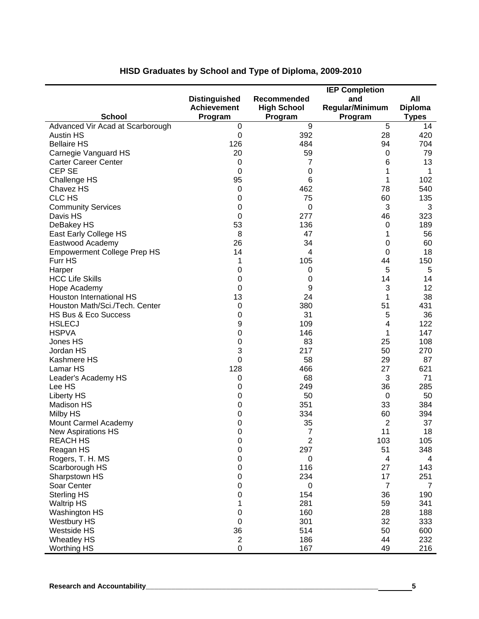|                                          |                      | <b>IEP Completion</b> |                         |                |  |
|------------------------------------------|----------------------|-----------------------|-------------------------|----------------|--|
|                                          | <b>Distinguished</b> | Recommended           | and                     | All            |  |
|                                          | <b>Achievement</b>   | <b>High School</b>    | Regular/Minimum         | <b>Diploma</b> |  |
| <b>School</b>                            | Program              | Program               | Program                 | <b>Types</b>   |  |
| Advanced Vir Acad at Scarborough         | 0                    | 9                     | 5                       | 14             |  |
| <b>Austin HS</b>                         | $\boldsymbol{0}$     | 392                   | 28                      | 420            |  |
| <b>Bellaire HS</b>                       | 126                  | 484                   | 94                      | 704            |  |
| Carnegie Vanguard HS                     | 20                   | 59                    | 0                       | 79             |  |
| <b>Carter Career Center</b>              | 0                    | 7                     | 6                       | 13             |  |
| <b>CEP SE</b>                            | 0                    | $\mathbf 0$           | 1<br>1                  | 1              |  |
| Challenge HS<br>Chavez HS                | 95<br>$\pmb{0}$      | 6<br>462              | 78                      | 102<br>540     |  |
| CLC HS                                   | $\pmb{0}$            | 75                    | 60                      | 135            |  |
| <b>Community Services</b>                | 0                    | 0                     | 3                       | 3              |  |
| Davis HS                                 | $\boldsymbol{0}$     | 277                   | 46                      | 323            |  |
| DeBakey HS                               | 53                   | 136                   | $\pmb{0}$               | 189            |  |
| East Early College HS                    | 8                    | 47                    | 1                       | 56             |  |
| Eastwood Academy                         | 26                   | 34                    | 0                       | 60             |  |
| <b>Empowerment College Prep HS</b>       | 14                   | 4                     | 0                       | 18             |  |
| Furr HS                                  | 1                    | 105                   | 44                      | 150            |  |
| Harper                                   | 0                    | 0                     | 5                       | 5              |  |
| <b>HCC Life Skills</b>                   | 0                    | 0                     | 14                      | 14             |  |
| Hope Academy                             | 0                    | 9                     | 3                       | 12             |  |
| Houston International HS                 | 13                   | 24                    | 1                       | 38             |  |
| Houston Math/Sci./Tech. Center           | $\pmb{0}$            | 380                   | 51                      | 431            |  |
| HS Bus & Eco Success                     | 0                    | 31                    | 5                       | 36             |  |
| <b>HSLECJ</b>                            | 9                    | 109                   | 4                       | 122            |  |
| <b>HSPVA</b>                             | 0                    | 146                   | 1                       | 147            |  |
| Jones HS                                 | 0                    | 83                    | 25                      | 108            |  |
| Jordan HS                                | 3                    | 217                   | 50                      | 270            |  |
| Kashmere HS                              | $\boldsymbol{0}$     | 58                    | 29                      | 87             |  |
| Lamar HS                                 | 128                  | 466                   | 27                      | 621            |  |
| Leader's Academy HS                      | 0                    | 68                    | 3                       | 71             |  |
| Lee HS                                   | 0                    | 249                   | 36                      | 285            |  |
| <b>Liberty HS</b>                        | 0                    | 50                    | 0                       | 50             |  |
| <b>Madison HS</b>                        | 0                    | 351                   | 33                      | 384            |  |
| <b>Milby HS</b>                          | 0                    | 334                   | 60                      | 394            |  |
| Mount Carmel Academy                     | 0                    | 35                    | $\overline{2}$          | 37             |  |
| New Aspirations HS                       | 0                    | 7                     | 11                      | 18             |  |
| <b>REACH HS</b>                          | $\pmb{0}$            | 2                     | 103                     | 105            |  |
| Reagan HS                                | 0                    | 297                   | 51                      | 348            |  |
| Rogers, T. H. MS                         | 0                    | 0                     | $\overline{\mathbf{4}}$ | 4              |  |
| Scarborough HS                           | 0                    | 116                   | 27                      | 143            |  |
| Sharpstown HS                            | $\boldsymbol{0}$     | 234                   | 17                      | 251            |  |
| Soar Center                              | $\boldsymbol{0}$     | 0                     | $\overline{7}$          | 7              |  |
| <b>Sterling HS</b>                       | 0                    | 154                   | 36                      | 190            |  |
| <b>Waltrip HS</b>                        | 1                    | 281                   | 59                      | 341            |  |
| Washington HS                            | $\boldsymbol{0}$     | 160                   | 28                      | 188            |  |
| <b>Westbury HS</b>                       | $\pmb{0}$            | 301                   | 32                      | 333            |  |
| Westside HS                              | 36<br>$\overline{c}$ | 514<br>186            | 50<br>44                | 600<br>232     |  |
| <b>Wheatley HS</b><br><b>Worthing HS</b> | 0                    | 167                   | 49                      | 216            |  |
|                                          |                      |                       |                         |                |  |

# **HISD Graduates by School and Type of Diploma, 2009-2010**